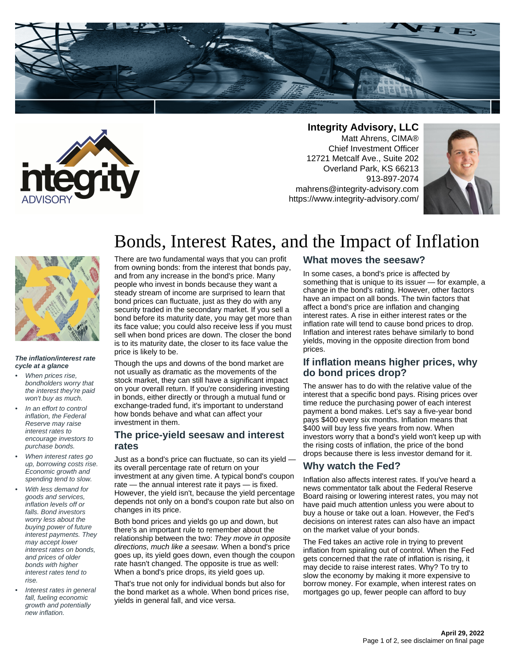



**Integrity Advisory, LLC** Matt Ahrens, CIMA® Chief Investment Officer 12721 Metcalf Ave., Suite 202 Overland Park, KS 66213 913-897-2074 mahrens@integrity-advisory.com https://www.integrity-advisory.com/





#### **The inflation/interest rate cycle at a glance**

- When prices rise, bondholders worry that the interest they're paid won't buy as much.
- In an effort to control inflation, the Federal Reserve may raise interest rates to encourage investors to purchase bonds.
- When interest rates go up, borrowing costs rise. Economic growth and spending tend to slow.
- With less demand for goods and services, inflation levels off or falls. Bond investors worry less about the buying power of future interest payments. They may accept lower interest rates on bonds, and prices of older bonds with higher interest rates tend to rise.
- Interest rates in general fall, fueling economic growth and potentially new inflation.

# Bonds, Interest Rates, and the Impact of Inflation

There are two fundamental ways that you can profit from owning bonds: from the interest that bonds pay, and from any increase in the bond's price. Many people who invest in bonds because they want a steady stream of income are surprised to learn that bond prices can fluctuate, just as they do with any security traded in the secondary market. If you sell a bond before its maturity date, you may get more than its face value; you could also receive less if you must sell when bond prices are down. The closer the bond is to its maturity date, the closer to its face value the price is likely to be.

Though the ups and downs of the bond market are not usually as dramatic as the movements of the stock market, they can still have a significant impact on your overall return. If you're considering investing in bonds, either directly or through a mutual fund or exchange-traded fund, it's important to understand how bonds behave and what can affect your investment in them.

### **The price-yield seesaw and interest rates**

Just as a bond's price can fluctuate, so can its yield its overall percentage rate of return on your investment at any given time. A typical bond's coupon rate — the annual interest rate it pays — is fixed. However, the yield isn't, because the yield percentage depends not only on a bond's coupon rate but also on changes in its price.

Both bond prices and yields go up and down, but there's an important rule to remember about the relationship between the two: They move in opposite directions, much like a seesaw. When a bond's price goes up, its yield goes down, even though the coupon rate hasn't changed. The opposite is true as well: When a bond's price drops, its yield goes up.

That's true not only for individual bonds but also for the bond market as a whole. When bond prices rise, yields in general fall, and vice versa.

# **What moves the seesaw?**

In some cases, a bond's price is affected by something that is unique to its issuer — for example, a change in the bond's rating. However, other factors have an impact on all bonds. The twin factors that affect a bond's price are inflation and changing interest rates. A rise in either interest rates or the inflation rate will tend to cause bond prices to drop. Inflation and interest rates behave similarly to bond yields, moving in the opposite direction from bond prices.

# **If inflation means higher prices, why do bond prices drop?**

The answer has to do with the relative value of the interest that a specific bond pays. Rising prices over time reduce the purchasing power of each interest payment a bond makes. Let's say a five-year bond pays \$400 every six months. Inflation means that \$400 will buy less five years from now. When investors worry that a bond's yield won't keep up with the rising costs of inflation, the price of the bond drops because there is less investor demand for it.

# **Why watch the Fed?**

Inflation also affects interest rates. If you've heard a news commentator talk about the Federal Reserve Board raising or lowering interest rates, you may not have paid much attention unless you were about to buy a house or take out a loan. However, the Fed's decisions on interest rates can also have an impact on the market value of your bonds.

The Fed takes an active role in trying to prevent inflation from spiraling out of control. When the Fed gets concerned that the rate of inflation is rising, it may decide to raise interest rates. Why? To try to slow the economy by making it more expensive to borrow money. For example, when interest rates on mortgages go up, fewer people can afford to buy